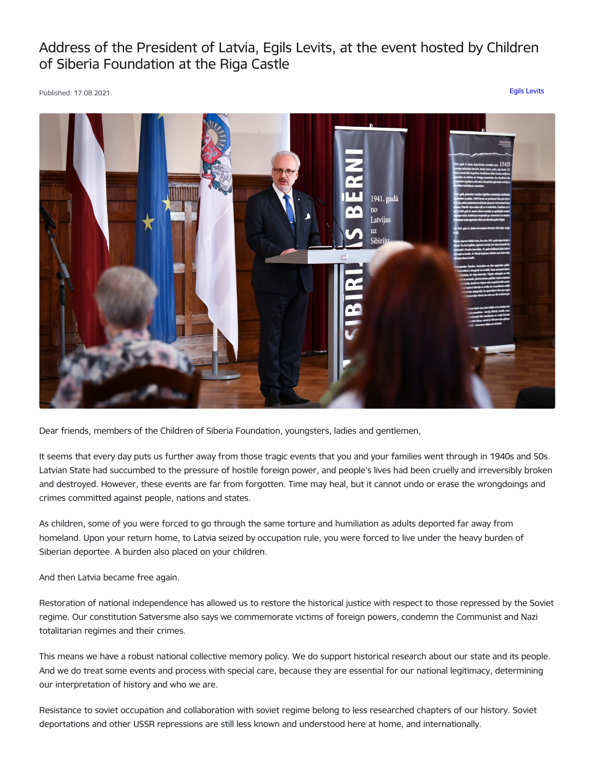## Address of the President of Latvia, Egils Levits, at the event hosted by Children of Siberia Foundation at the Riga Castle

Published: 17.08.2021. Egils [Levits](https://www.president.lv/en/articles?category%255B277%255D=277)



Dear friends, members of the Children of Siberia Foundation, youngsters, ladies and gentlemen,

It seems that every day puts us further away from those tragic events that you and your families went through in 1940s and 50s. Latvian State had succumbed to the pressure of hostile foreign power, and people's lives had been cruelly and irreversibly broken and destroyed. However, these events are far from forgotten. Time may heal, but it cannot undo or erase the wrongdoings and crimes committed against people, nations and states.

As children, some of you were forced to go through the same torture and humiliation as adults deported far away from homeland. Upon your return home, to Latvia seized by occupation rule, you were forced to live under the heavy burden of Siberian deportee. A burden also placed on your children.

And then Latvia became free again.

Restoration of national independence has allowed us to restore the historical justice with respect to those repressed by the Soviet regime. Our constitution Satversme also says we commemorate victims of foreign powers, condemn the Communist and Nazi totalitarian regimes and their crimes.

This means we have a robust national collective memory policy. We do support historical research about our state and its people. And we do treat some events and process with special care, because they are essential for our national legitimacy, determining our interpretation of history and who we are.

Resistance to soviet occupation and collaboration with soviet regime belong to less researched chapters of our history. Soviet deportations and other USSR repressions are still less known and understood here at home, and internationally.